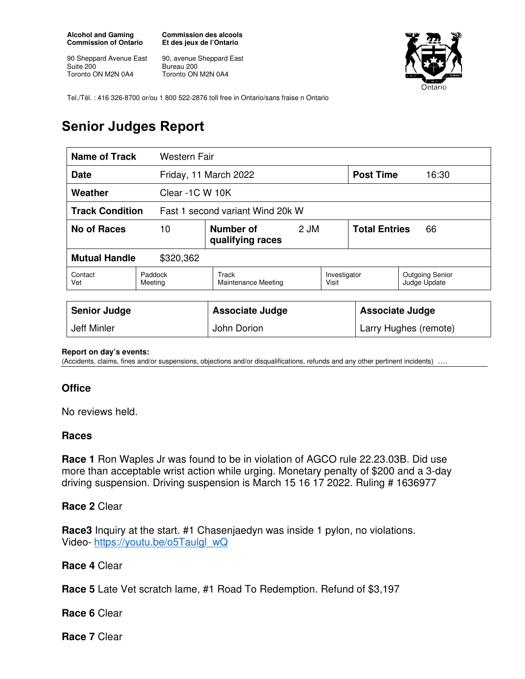**Alcohol and Gaming Commission of Ontario** 

90 Sheppard Avenue East Suite 200 Toronto ON M2N 0A4

**Commission des alcools Et des jeux de l'Ontario** 

90, avenue Sheppard East Bureau 200 Toronto ON M2N 0A4



Tel./Tél. : 416 326-8700 or/ou 1 800 522-2876 toll free in Ontario/sans fraise n Ontario

# **Senior Judges Report**

| Name of Track<br>Western Fair                              |                    |                                     |      |                        |                            |                                        |
|------------------------------------------------------------|--------------------|-------------------------------------|------|------------------------|----------------------------|----------------------------------------|
| <b>Date</b>                                                |                    | Friday, 11 March 2022               |      |                        | <b>Post Time</b>           | 16:30                                  |
| Weather<br>Clear -1C W 10K                                 |                    |                                     |      |                        |                            |                                        |
| <b>Track Condition</b><br>Fast 1 second variant Wind 20k W |                    |                                     |      |                        |                            |                                        |
| <b>No of Races</b><br>10                                   |                    | Number of<br>qualifying races       | 2 JM |                        | <b>Total Entries</b><br>66 |                                        |
| <b>Mutual Handle</b><br>\$320,362                          |                    |                                     |      |                        |                            |                                        |
| Contact<br>Vet                                             | Paddock<br>Meeting | Track<br><b>Maintenance Meeting</b> |      | Investigator<br>Visit  |                            | <b>Outgoing Senior</b><br>Judge Update |
|                                                            |                    |                                     |      |                        |                            |                                        |
| <b>Senior Judge</b>                                        |                    | <b>Associate Judge</b>              |      | <b>Associate Judge</b> |                            |                                        |
| <b>Jeff Minler</b>                                         |                    | John Dorion                         |      | Larry Hughes (remote)  |                            |                                        |

#### **Report on day's events:**

(Accidents, claims, fines and/or suspensions, objections and/or disqualifications, refunds and any other pertinent incidents) ….

### **Office**

No reviews held.

#### **Races**

**Race 1** Ron Waples Jr was found to be in violation of AGCO rule 22.23.03B. Did use more than acceptable wrist action while urging. Monetary penalty of \$200 and a 3-day driving suspension. Driving suspension is March 15 16 17 2022. Ruling # 1636977

#### **Race 2** Clear

**Race3** Inquiry at the start. #1 Chasenjaedyn was inside 1 pylon, no violations. Video- https://youtu.be/o5Taulgl\_wQ

### **Race 4** Clear

**Race 5** Late Vet scratch lame, #1 Road To Redemption. Refund of \$3,197

**Race 6** Clear

**Race 7** Clear